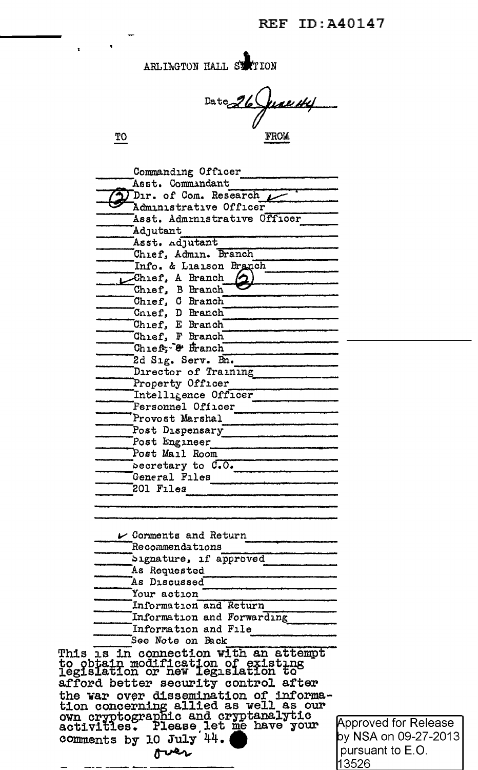| ARLINGTON HALL STATION |  |  |
|------------------------|--|--|
|------------------------|--|--|

 $Date$ 26 Juan 44

 $\underline{TO}$ 

шa,

 $\blacktriangle$ 

| Commanding Officer                                                      |      |
|-------------------------------------------------------------------------|------|
| Asst. Commandant                                                        |      |
| Dir. of Com. Research                                                   |      |
| Administrative Officer                                                  |      |
| Asst. Admrnistrative Officer                                            |      |
| Adjutant                                                                |      |
| Asst. Adjutant                                                          |      |
| Chief, Admin. Branch                                                    |      |
| Info. & Liaison Branch                                                  |      |
| Chief, A Branch                                                         |      |
| Chief, B Branch                                                         |      |
| Chief, C Branch                                                         |      |
| Cnief, D Branch                                                         |      |
| Chief, E Branch                                                         |      |
| Chief, F Branch                                                         |      |
| Chief, & Branch                                                         |      |
| 2d Sig. Serv. Bn.                                                       |      |
| Director of Training                                                    |      |
| Property Officer                                                        |      |
| Intelligence Officer                                                    |      |
| Fersonnel Officer                                                       |      |
| Provost Marshal<br>the control of the control of the control of         |      |
| Post Dispensary                                                         |      |
| Post Engineer                                                           |      |
| Post Mail Room                                                          |      |
| becretary to C.O.                                                       |      |
| General Files                                                           |      |
| 201 Files                                                               |      |
|                                                                         |      |
|                                                                         |      |
|                                                                         |      |
| $\mathcal V$ Corments and Return                                        |      |
| Recommendations                                                         |      |
| Signature, if approved                                                  |      |
| As Requested                                                            |      |
| As Discussed                                                            |      |
| Your action                                                             |      |
| Information and Return                                                  |      |
| Information and Forwarding                                              |      |
| Information and File                                                    |      |
| See Note on Back                                                        |      |
| This is in connection with an attempt                                   |      |
| to obtain modification of existing<br>legislation or new legislation to |      |
|                                                                         |      |
| afford better security control after                                    |      |
| the war over dissemination of informa-                                  |      |
| tion concerning allied as well as our                                   |      |
| own cryptographic and cryptanalytic activities. Please let me have your | App  |
|                                                                         | by N |
| comments by 10 July 44.                                                 | pur  |
| over                                                                    |      |

proved for Release VSA on 09-27-2013 suant to E.O. 13526